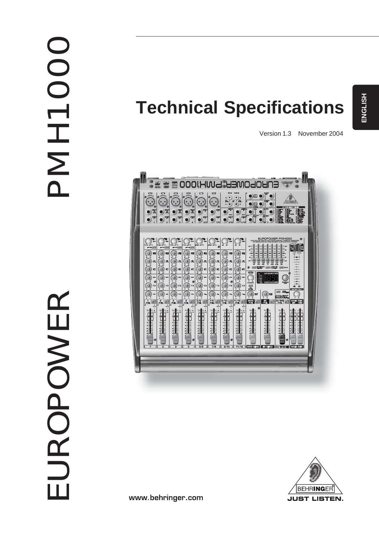# **DODHNA**

# **Technical Specifications**

Version 1.3 November 2004



**BEHRINGER JUST LISTEN.** 

www.behringer.com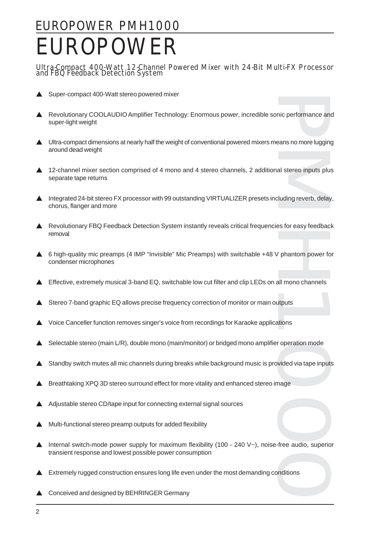# EUROPOWER PMH1000 EUROPOWER

### Ultra-Compact 400-Watt 12-Channel Powered Mixer with 24-Bit Multi-FX Processor and FBQ Feedback Detection System

- Super-compact 400-Watt stereo powered mixer
- Revolutionary COOLAUDIO Amplifier Technology: Enormous power, incredible sonic performance and super-light weight
- $\blacktriangle$  Ultra-compact dimensions at nearly half the weight of conventional powered mixers means no more lugging around dead weight
- ▲ 12-channel mixer section comprised of 4 mono and 4 stereo channels, 2 additional stereo inputs plus separate tape returns
- nic performance and<br>beans no more lugging<br>al stereo inputs plus<br>cluding reverb, delay,<br>es for easy feedback<br>/<br>phantom power for<br>all mono channels<br>atputs<br>tions<br>roperation mode<br>vided via tape inputs<br>mage<br>free audio, superior ▲ Integrated 24-bit stereo FX processor with 99 outstanding VIRTUALIZER presets including reverb, delay, chorus, flanger and more
- ▲ Revolutionary FBQ Feedback Detection System instantly reveals critical frequencies for easy feedback removal
- $\triangle$  6 high-quality mic preamps (4 IMP "Invisible" Mic Preamps) with switchable +48 V phantom power for condenser microphones
- Effective, extremely musical 3-band EQ, switchable low cut filter and clip LEDs on all mono channels
- Stereo 7-band graphic EQ allows precise frequency correction of monitor or main outputs
- V Voice Canceller function removes singer's voice from recordings for Karaoke applications
- Selectable stereo (main L/R), double mono (main/monitor) or bridged mono amplifier operation mode
- Standby switch mutes all mic channels during breaks while background music is provided via tape inputs
- Breathtaking XPQ 3D stereo surround effect for more vitality and enhanced stereo image
- Adjustable stereo CD/tape input for connecting external signal sources
- V Multi-functional stereo preamp outputs for added flexibility
- Internal switch-mode power supply for maximum flexibility (100 240  $\vee$ -), noise-free audio, superior transient response and lowest possible power consumption
- Extremely rugged construction ensures long life even under the most demanding conditions
- $\triangle$  Conceived and designed by BEHRINGER Germany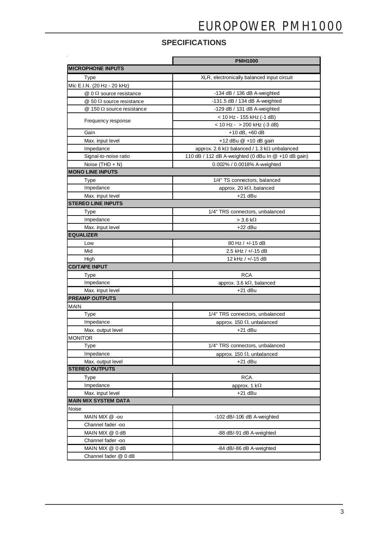## **SPECIFICATIONS**

|                                    | <b>PMH1000</b>                                              |
|------------------------------------|-------------------------------------------------------------|
| <b>MICROPHONE INPUTS</b>           |                                                             |
| <b>Type</b>                        | XLR, electronically balanced input circuit                  |
| Mic E.I.N. (20 Hz - 20 kHz)        |                                                             |
| $@0\Omega$ source resistance       | -134 dB / 136 dB A-weighted                                 |
| @ 50 $\Omega$ source resistance    | $-131.5$ dB / 134 dB A-weighted                             |
| $@$ 150 $\Omega$ source resistance | -129 dB $/$ 131 dB A-weighted                               |
| Frequency response                 | < 10 Hz - 155 kHz (-1 dB)                                   |
|                                    | $<$ 10 Hz - $>$ 200 kHz (-3 dB)                             |
| Gain                               | $+10$ dB, $+60$ dB                                          |
| Max. input level                   | +12 dBu @ +10 dB gain                                       |
| Impedance                          | approx. 2.6 k $\Omega$ balanced / 1.3 k $\Omega$ unbalanced |
| Signal-to-noise ratio              | 110 dB / 112 dB A-weighted (0 dBu In $@ + 10$ dB gain)      |
| Noise $(THD + N)$                  | 0.002% / 0.0018% A-weighted                                 |
| <b>MONO LINE INPUTS</b>            |                                                             |
| <b>Type</b>                        | 1/4" TS connectors, balanced                                |
| Impedance                          | approx. 20 $k\Omega$ , balanced                             |
| Max. input level                   | $+21$ dBu                                                   |
| <b>STEREO LINE INPUTS</b>          |                                                             |
| Type                               | 1/4" TRS connectors, unbalanced                             |
| Impedance                          | $>$ 3.6 k $\Omega$                                          |
| Max. input level                   | $+22$ dBu                                                   |
| <b>EQUALIZER</b>                   |                                                             |
| Low                                | $80$ Hz / $+$ /-15 dB                                       |
| Mid                                | 2.5 kHz / +/-15 dB                                          |
| High                               | 12 kHz / +/-15 dB                                           |
| <b>CD/TAPE INPUT</b>               |                                                             |
| Type                               | <b>RCA</b>                                                  |
| Impedance                          | approx. 3.6 k $\Omega$ , balanced                           |
| Max. input level                   | $+21$ dBu                                                   |
| <b>PREAMP OUTPUTS</b>              |                                                             |
| MAIN                               |                                                             |
| <b>Type</b>                        | 1/4" TRS connectors, unbalanced                             |
| Impedance                          | approx. 150 $\Omega$ , unbalanced                           |
| Max. output level                  | $+21$ dBu                                                   |
| <b>MONITOR</b>                     |                                                             |
| Type                               | 1/4" TRS connectors, unbalanced                             |
| Impedance                          | approx. 150 $\Omega$ , unbalanced                           |
| Max. output level                  | $+21$ dBu                                                   |
| <b>STEREO OUTPUTS</b>              |                                                             |
| Type                               | <b>RCA</b>                                                  |
| Impedance                          | approx. 1 $k\Omega$                                         |
| Max. input level                   | $+21$ dBu                                                   |
| <b>MAIN MIX SYSTEM DATA</b>        |                                                             |
| Noise                              |                                                             |
| MAIN MIX @ -00                     | -102 dB/-106 dB A-weighted                                  |
| Channel fader -oo                  |                                                             |
| MAIN MIX @ 0 dB                    | -88 dB/-91 dB A-weighted                                    |
| Channel fader -oo                  |                                                             |
| MAIN MIX @ 0 dB                    | -84 dB/-86 dB A-weighted                                    |
| Channel fader @ 0 dB               |                                                             |